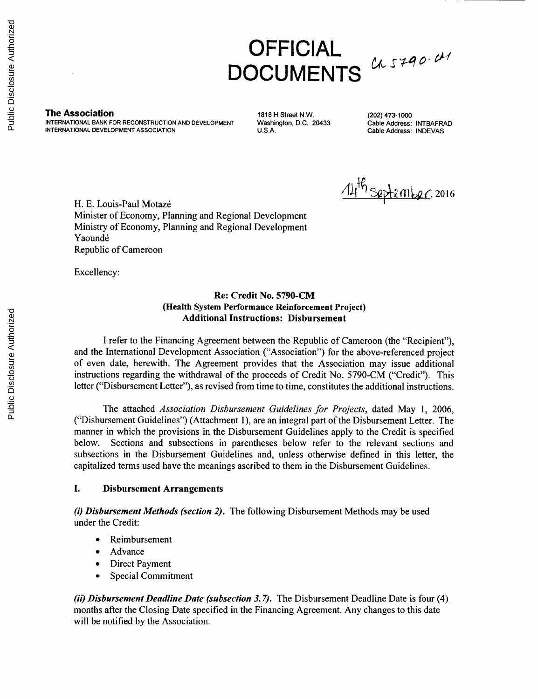# **OFFICIAL DOCUMENTS**

**The Association** 1818 H Street N.W. (202) 473-1000 INTERNATIONAL BANK FOR RECONSTRUCTION AND DEVELOPMENT Washington, D.C. 20433 Cable Address: INTBAFRAD<br>INTERNATIONAL DEVELOPMENT ASSOCIATION U.S.A. U.S.A. Cable Address: INDEVAS **INTERNATIONAL DEVELOPMENT ASSOCIATION** 

H. E. Louis-Paul Motazé **14<sup>Th</sup>** September, 2016

Minister of Economy, Planning and Regional Development Ministry of Economy, Planning and Regional Development Yaoundé Republic of Cameroon

Excellency:

#### Re: Credit No. **5790-CM** (Health System Performance Reinforcement Project) Additional Instructions: Disbursement

**I** refer to the Financing Agreement between the Republic of Cameroon (the "Recipient"), and the International Development Association ("Association") for the above-referenced project of even date, herewith. The Agreement provides that the Association may issue additional instructions regarding the withdrawal of the proceeds of Credit No. *5790-CM* ("Credit"). This letter ("Disbursement Letter"), as revised from time to time, constitutes the additional instructions.

The attached *Association Disbursement Guidelines for Projects,* dated May **1, 2006,** ("Disbursement Guidelines") (Attachment **1),** are an integral part of the Disbursement Letter. The manner in which the provisions in the Disbursement Guidelines apply to the Credit is specified below. Sections and subsections in parentheses below refer to the relevant sections and subsections in the Disbursement Guidelines and, unless otherwise defined in this letter, the capitalized terms used have the meanings ascribed to them in the Disbursement Guidelines.

#### **I.** Disbursement **Arrangements**

*(i) Disbursement Methods (section 2).* The following Disbursement Methods may be used under the Credit:

- Reimbursement
- Advance
- Direct Payment
- Special Commitment

*(ii) Disbursement Deadline Date (subsection 3.7).* The Disbursement Deadline Date is four (4) months after the Closing Date specified in the Financing Agreement. Any changes to this date will be notified **by** the Association.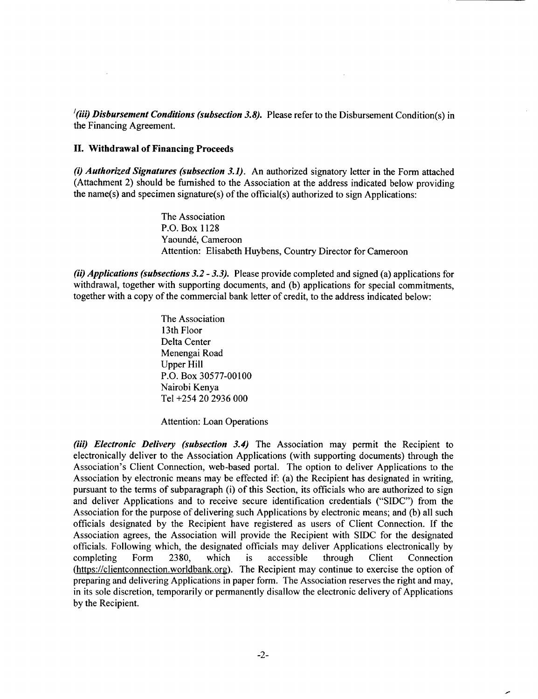*(iii) Disbursement Conditions (subsection 3.8).* Please refer to the Disbursement Condition(s) in the Financing Agreement.

#### **II. Withdrawal of Financing Proceeds**

 $\sim$ 

(i) *Authorized Signatures (subsection 3.1).* An authorized signatory letter in the Form attached (Attachment 2) should be furnished to the Association at the address indicated below providing the name(s) and specimen signature(s) of the official(s) authorized to sign Applications:

> The Association P.O. Box **1128** Yaoundé, Cameroon Attention: Elisabeth Huybens, Country Director for Cameroon

*(ii) Applications (subsections 3.2* **-** *3.3).* Please provide completed and signed (a) applications for withdrawal, together with supporting documents, and **(b)** applications for special commitments, together with a copy of the commercial bank letter of credit, to the address indicated below:

> The Association 13th Floor Delta Center Menengai Road Upper Hill P.O. Box **30577-00100** Nairobi Kenya Tel *+254* 20 **2936 000**

Attention: Loan Operations

*(iii) Electronic Delivery (subsection 3.4)* The Association may permit the Recipient to electronically deliver to the Association Applications (with supporting documents) through the Association's Client Connection, web-based portal. The option to deliver Applications to the Association **by** electronic means may be effected if: (a) the Recipient has designated in writing, pursuant to the terms of subparagraph (i) of this Section, its officials who are authorized to sign and deliver Applications and to receive secure identification credentials **("SIDC")** from the Association for the purpose of delivering such Applications **by** electronic means; and **(b)** all such officials designated **by** the Recipient have registered as users of Client Connection. **If** the Association agrees, the Association will provide the Recipient with **SIDC** for the designated officials. Following which, the designated officials may deliver Applications electronically **by** completing Form **2380,** which is accessible through Client Connection (https://clientconnection.worldbank.org). The Recipient may continue to exercise the option of preparing and delivering Applications in paper form. The Association reserves the right and may, in its sole discretion, temporarily or permanently disallow the electronic delivery of Applications **by** the Recipient.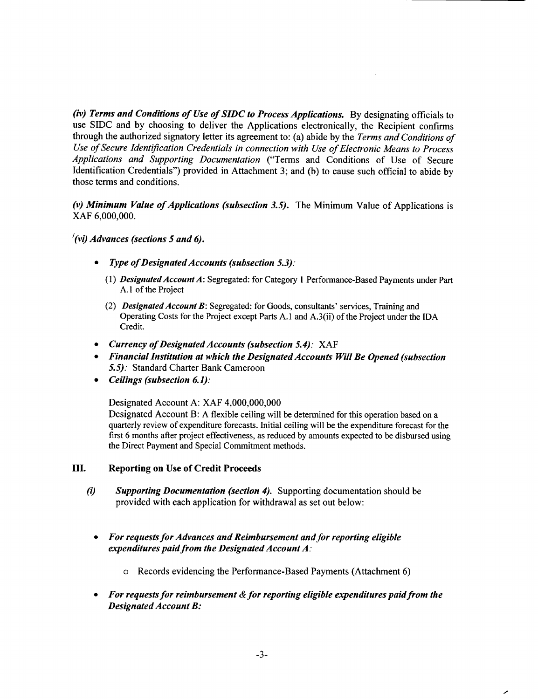*(iv) Terms and Conditions of Use of SIDC to Process Applications.* **By** designating officials to use **SIDC** and **by** choosing to deliver the Applications electronically, the Recipient confirms through the authorized signatory letter its agreement to: (a) abide **by** the *Terms and Conditions of Use of Secure Identification Credentials in connection with Use of Electronic Means to Process Applications and Supporting Documentation* ("Terms and Conditions of Use of Secure Identification Credentials") provided in Attachment **3;** and **(b)** to cause such official to abide **by** those terms and conditions.

*(v) Minimum Value of Applications (subsection 3.5).* The Minimum Value of Applications is XAF **6,000,000.**

*'(vi) Advances (sections 5 and 6).*

- *\* Type of Designated Accounts (subsection 5.3):*
	- *(1) Designated Account A:* Segregated: for Category 1 Performance-Based Payments under Part **A.1** of the Project
	- *(2) Designated Account B:* Segregated: for Goods, consultants' services, Training and Operating Costs for the Project except Parts **A. I** and A.3(ii) of the Project under the **IDA** Credit.
- *\* Currency of Designated Accounts (subsection 5.4):* XAF
- *\* Financial Institution at which the Designated Accounts Will Be Opened (subsection 5.5):* Standard Charter Bank Cameroon
- *\* Ceilings (subsection 6.1):*

Designated Account **A:** XAF 4,000,000,000

Designated Account B: **A** flexible ceiling will be determined for this operation based on a quarterly review of expenditure forecasts. Initial ceiling will be the expenditure forecast for the first **6** months after project effectiveness, as reduced **by** amounts expected to be disbursed using the Direct Payment and Special Commitment methods.

#### **III. Reporting on Use of Credit Proceeds**

- *(i) Supporting Documentation (section 4).* Supporting documentation should be provided with each application for withdrawal as set out below:
	- *\* For requests for Advances and Reimbursement and for reporting eligible expenditures paid from the Designated Account A:*
		- o Records evidencing the Performance-Based Payments (Attachment **6)**
	- *For requests for reimbursement & for reporting eligible expenditures paid from the Designated Account B:*

╭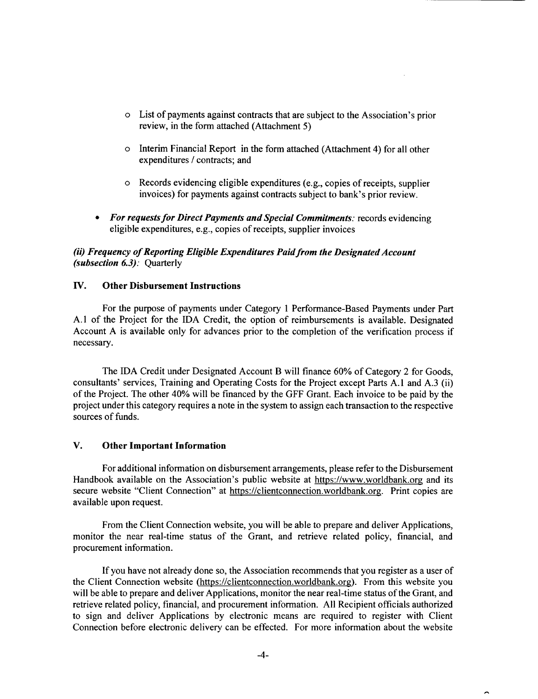- o List of payments against contracts that are subject to the Association's prior review, in the form attached (Attachment **5)**
- o Interim Financial Report in the form attached (Attachment 4) for all other expenditures **/** contracts; and
- o Records evidencing eligible expenditures (e.g., copies of receipts, supplier invoices) for payments against contracts subject to bank's prior review.
- *For requests for Direct Payments and Special Commitments:* records evidencing eligible expenditures, e.g., copies of receipts, supplier invoices

#### *(ii) Frequency of Reporting Eligible Expenditures Paid from the Designated Account (subsection 6.3):* Quarterly

#### **IV. Other Disbursement Instructions**

**For the purpose of payments under Category 1** Performance-Based Payments under Part **A. 1** of the Project for the **IDA** Credit, the option of reimbursements is available. Designated Account **A** is available only for advances prior to the completion of the verification process if necessary.

The **IDA** Credit under Designated Account B will finance **60%** of Category 2 for Goods, consultants' services, Training and Operating Costs for the Project except Parts **A.** 1 and **A.3** (ii) of the Project. The other 40% will be financed **by** the **GFF** Grant. Each invoice to be paid **by** the project under this category requires a note in the system to assign each transaction to the respective sources of funds.

#### **V. Other Important Information**

For additional information on disbursement arrangements, please refer to the Disbursement Handbook available on the Association's public website at https://www.worldbank.org and its secure website "Client Connection" at https://clientconnection.worldbank.org. Print copies are available upon request.

From the Client Connection website, you will be able to prepare and deliver Applications, monitor the near real-time status of the Grant, and retrieve related policy, financial, and procurement information.

**If** you have not already done so, the Association recommends that you register as a user of the Client Connection website (https://clientconnection.worldbank.org). From this website you will be able to prepare and deliver Applications, monitor the near real-time status of the Grant, and retrieve related policy, financial, and procurement information. **All** Recipient officials authorized to sign and deliver Applications **by** electronic means are required to register with Client Connection before electronic delivery can be effected. For more information about the website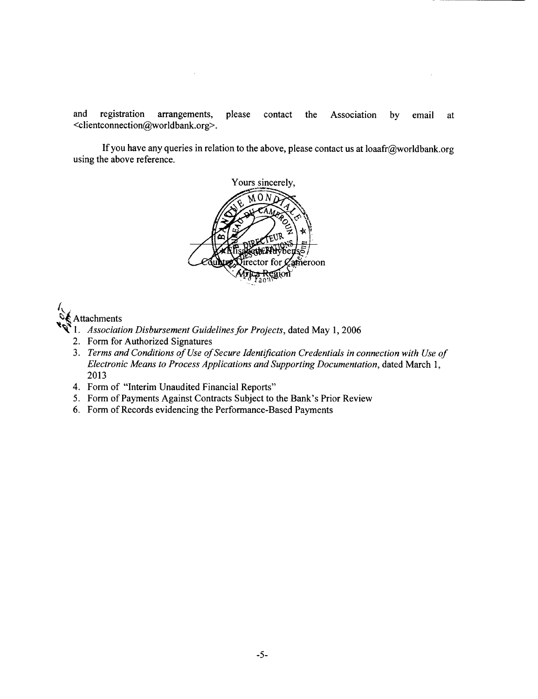and registration arrangements, please contact the Association **by** email at <clientconnection@worldbank.org>.

**If** you have any queries in relation to the above, please contact us at loaafr@worldbank.org using the above reference.



## **Attachments**

- **1.** *Association Disbursement Guidelines for Projects,* dated May **1, 2006**
	- 2. Form for Authorized Signatures
	- 3. Terms and Conditions of Use of Secure Identification Credentials in connection with Use of *Electronic Means to Process Applications and Supporting Documentation,* dated March **1, 2013**
	- 4. Form of "Interim Unaudited Financial Reports"
	- *5.* Form of Payments Against Contracts Subject to the Bank's Prior Review
	- **6.** Form of Records evidencing the Performance-Based Payments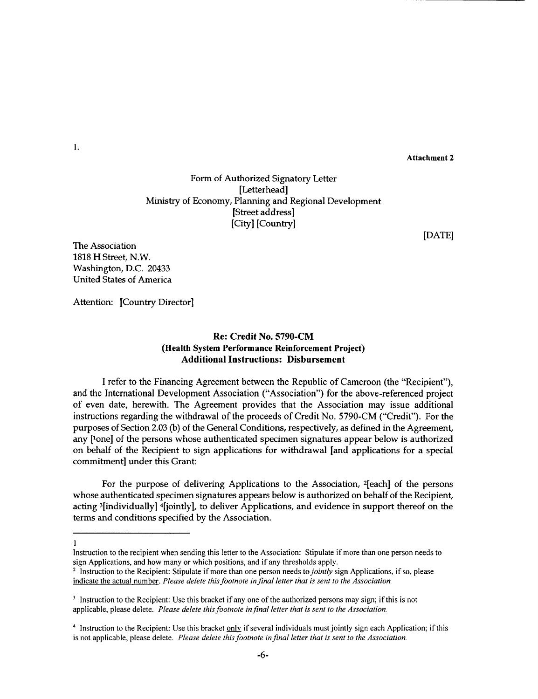Form of Authorized Signatory Letter [Letterhead] Ministry of Economy, Planning and Regional Development [Street address] [City] [Country]

**[DATE]**

The Association **1818** H Street, N.W. Washington, **D.C.** 20433 United States of America

Attention: [Country Director]

#### Re: Credit No. **5790-CM** (Health System Performance Reinforcement Project) Additional Instructions: Disbursement

**I** refer to the Financing Agreement between the Republic of Cameroon (the "Recipient"), and the International Development Association ("Association") for the above-referenced project of even date, herewith. The Agreement provides that the Association may issue additional instructions regarding the withdrawal of the proceeds of Credit No. *5790-CM* ("Credit"). For the purposes of Section **2.03 (b)** of the General Conditions, respectively, as defined in the Agreement, any [lone] of the persons whose authenticated specimen signatures appear below is authorized on behalf of the Recipient to sign applications for withdrawal [and applications for a special commitment] under this Grant:

For the purpose of delivering Applications to the Association, 2[each] of the persons whose authenticated specimen signatures appears below is authorized on behalf of the Recipient, acting <sup>3</sup>[individually] <sup>4</sup>[jointly], to deliver Applications, and evidence in support thereof on the terms and conditions specified **by** the Association.

1.

<sup>1</sup>

Instruction to the recipient when sending this letter to the Association: Stipulate if more than one person needs to sign Applications, and how many or which positions, and if any thresholds apply.

<sup>2</sup>Instruction to the Recipient: Stipulate if more than one person needs *to jointly* sign Applications, if so, please indicate the actual number. *Please delete this footnote in final letter that is sent to the Association.*

<sup>&</sup>lt;sup>3</sup> Instruction to the Recipient: Use this bracket if any one of the authorized persons may sign; if this is not applicable, please delete. *Please delete this footnote in final letter that is sent to the Association.*

<sup>&</sup>lt;sup>4</sup> Instruction to the Recipient: Use this bracket only if several individuals must jointly sign each Application; if this is not applicable, please delete. *Please delete this footnote in final letter that is sent to the Association.*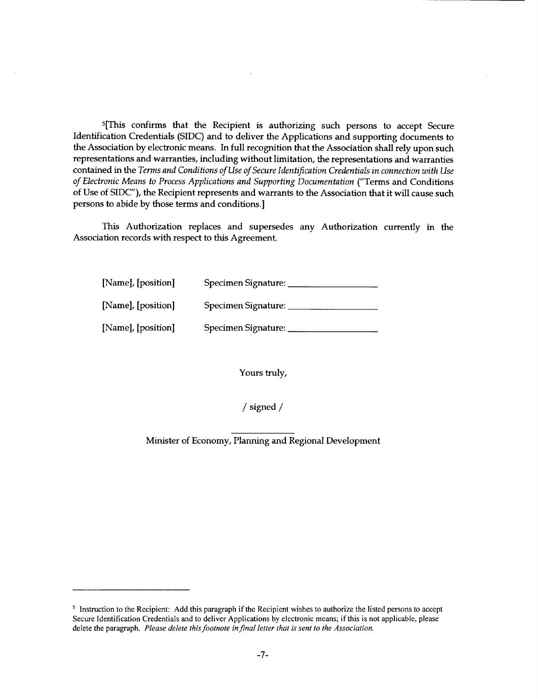5[This confirms that the Recipient is authorizing such persons to accept Secure Identification Credentials (SIDC) and to deliver the Applications and supporting documents to the Association **by** electronic means. In full recognition that the Association shall rely upon such representations and warranties, including without limitation, the representations and warranties contained in the *Terms and Conditions of Use of Secure Identification Credentials in connection with Use of Electronic Means to Process Applications and Supporting Documentation* ("Terms and Conditions of Use of **SIDC"),** the Recipient represents and warrants to the Association that it will cause such persons to abide **by** those terms and conditions.]

This Authorization replaces and supersedes any Authorization currently in the Association records with respect to this Agreement.

| [Name], [position] | <b>Specimen Signature:</b> |
|--------------------|----------------------------|
| [Name], [position] | Specimen Signature:        |
| [Name], [position] | Specimen Signature:        |

Yours truly,

**/** signed **/**

Minister of Economy, Planning and Regional Development

**<sup>5</sup>**Instruction to the Recipient: **Add** this paragraph if the Recipient wishes to authorize the listed persons to accept Secure Identification Credentials and to deliver Applications **by** electronic means; if this is not applicable, please delete the paragraph. *Please delete this footnote in final letter that is sent to the Association.*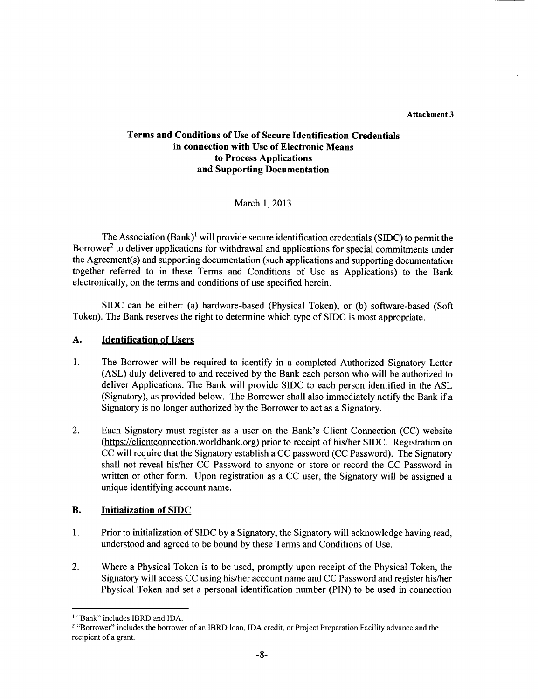#### **Terms and Conditions of Use of Secure Identification Credentials in connection with Use of Electronic Means to Process Applications and Supporting Documentation**

March **1, 2013**

The Association (Bank)' will provide secure identification credentials **(SIDC)** to permit the Borrower<sup>2</sup> to deliver applications for withdrawal and applications for special commitments under the Agreement(s) and supporting documentation (such applications and supporting documentation together referred to in these Terms and Conditions of Use as Applications) to the Bank electronically, on the terms and conditions of use specified herein.

**SIDC** can be either: (a) hardware-based (Physical Token), or **(b)** software-based (Soft Token). The Bank reserves the right to determine which type of **SIDC** is most appropriate.

#### **A.** Identification of Users

- **1.** The Borrower will be required to identify in a completed Authorized Signatory Letter **(ASL)** duly delivered to and received **by** the Bank each person who will be authorized to deliver Applications. The Bank will provide **SIDC** to each person identified in the **ASL** (Signatory), as provided below. The Borrower shall also immediately notify the Bank if a Signatory is no longer authorized **by** the Borrower to act as a Signatory.
- 2. Each Signatory must register as a user on the Bank's Client Connection **(CC)** website (https://clientconnection.worldbank.org) prior to receipt of his/her **SIDC.** Registration on **CC** will require that the Signatory establish a **CC** password **(CC** Password). The Signatory shall not reveal his/her **CC** Password to anyone or store or record the **CC** Password in written or other form. Upon registration as a **CC** user, the Signatory will be assigned a unique identifying account name.

#### B. Initialization of **SIDC**

- **1.** Prior to initialization of **SIDC by** a Signatory, the Signatory will acknowledge having read, understood and agreed to be bound **by** these Terms and Conditions of Use.
- 2. Where a Physical Token is to be used, promptly upon receipt of the Physical Token, the Signatory will access **CC** using his/her account name and **CC** Password and register his/her Physical Token and set a personal identification number **(PIN)** to **be** used in connection

<sup>&#</sup>x27;"Bank" includes IBRD and **IDA.**

<sup>2</sup>"Borrower" includes the borrower of an IBRD loan, **IDA** credit, or Project Preparation Facility advance and the recipient of a grant.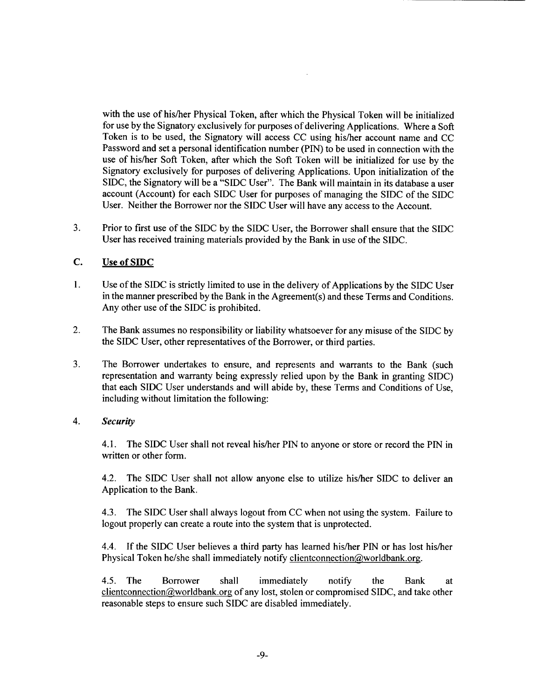with the use of his/her Physical Token, after which the Physical Token will be initialized for use **by** the Signatory exclusively for purposes of delivering Applications. Where a Soft Token is to be used, the Signatory will access **CC** using his/her account name and **CC** Password and set a personal identification number **(PIN)** to be used in connection with the use of his/her Soft Token, after which the Soft Token will be initialized for use **by** the Signatory exclusively for purposes of delivering Applications. Upon initialization of the **SIDC,** the Signatory will be a **"SIDC** User". The Bank will maintain in its database a user account (Account) for each **SIDC** User for purposes of managing the **SIDC** of the **SIDC** User. Neither the Borrower nor the **SIDC** User will have any access to the Account.

**3.** Prior to first use of the **SIDC by** the **SIDC** User, the Borrower shall ensure that the **SIDC** User has received training materials provided **by** the Bank in use of the **SIDC.**

#### **C.** Use of **SIDC**

- 1 **.** Use of the **SIDC** is strictly limited to use in the delivery of Applications **by** the **SIDC** User in the manner prescribed **by** the Bank in the Agreement(s) and these Terms and Conditions. Any other use of the **SIDC** is prohibited.
- 2. The Bank assumes no responsibility or liability whatsoever for any misuse of the **SIDC by** the **SIDC** User, other representatives of the Borrower, or third parties.
- **3.** The Borrower undertakes to ensure, and represents and warrants to the Bank (such representation and warranty being expressly relied upon **by** the Bank in granting **SIDC)** that each **SIDC** User understands and will abide **by,** these Terms and Conditions of Use, including without limitation the following:

#### *4. Security*

4.1. The **SIDC** User shall not reveal his/her **PIN** to anyone or store or record the **PIN** in written or other form.

4.2. The **SIDC** User shall not allow anyone else to utilize his/her **SIDC** to deliver an Application to the Bank.

4.3. The **SIDC** User shall always logout from **CC** when not using the system. Failure to logout properly can create a route into the system that is unprotected.

4.4. **If** the **SIDC** User believes a third party has learned his/her **PIN** or has lost his/her Physical Token he/she shall immediately notify clientconnection@worldbank.org.

*4.5.* The Borrower shall immediately notify the Bank at clientconnection(2worldbank.org of any lost, stolen or compromised **SIDC,** and take other reasonable steps to ensure such **SIDC** are disabled immediately.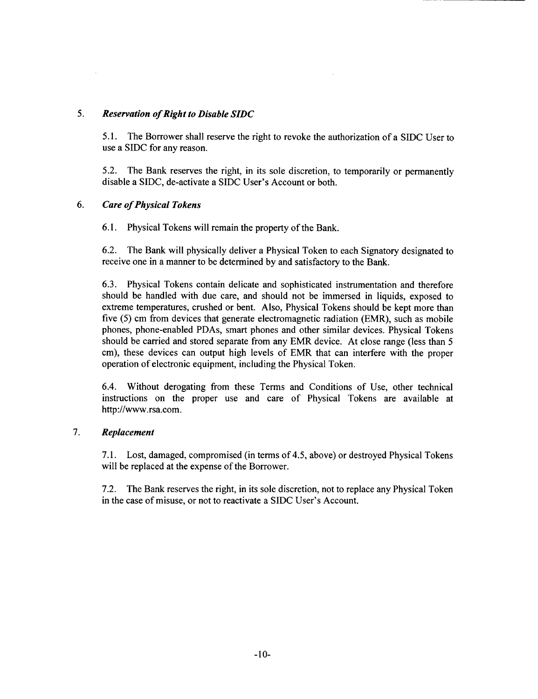#### *5. Reservation of Right to Disable SIDC*

*5.1.* The Borrower shall reserve the right to revoke the authorization of a **SIDC** User to use a **SIDC** for any reason.

**5.2.** The Bank reserves the right, in its sole discretion, to temporarily or permanently disable a **SIDC,** de-activate a **SIDC** User's Account or both.

#### **6.** *Care of Physical Tokens*

**6.1.** Physical Tokens will remain the property of the Bank.

**6.2.** The Bank will physically deliver a Physical Token to each Signatory designated to receive one in a manner to be determined **by** and satisfactory to the Bank.

**6.3.** Physical Tokens contain delicate and sophisticated instrumentation and therefore should be handled with due care, and should not be immersed in liquids, exposed to extreme temperatures, crushed or bent. Also, Physical Tokens should be kept more than five **(5)** cm from devices that generate electromagnetic radiation (EMR), such as mobile phones, phone-enabled PDAs, smart phones and other similar devices. Physical Tokens should be carried and stored separate from any EMR device. At close range (less than *5* cm), these devices can output high levels of EMR that can interfere with the proper operation of electronic equipment, including the Physical Token.

6.4. Without derogating from these Terms and Conditions of Use, other technical instructions on the proper use and care of Physical Tokens are available at http://www.rsa.com.

#### *7. Replacement*

**7.1.** Lost, damaged, compromised (in terms of 4.5, above) or destroyed Physical Tokens will be replaced at the expense of the Borrower.

**7.2.** The Bank reserves the right, in its sole discretion, not to replace any Physical Token in the case of misuse, or not to reactivate a **SIDC** User's Account.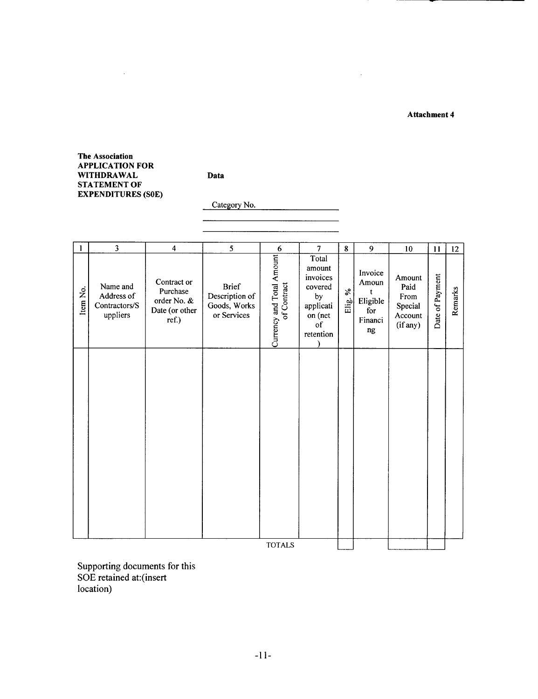$\overline{a}$ 

<u> Liberatura de la conte</u>

The Association **APPLICATION FOR** WITHDRAWAL STATEMENT OF **EXPENDITURES (SOE)** 

Data

Category No.

 $\bar{z}$ 

| $\mathbf{I}$  | $\overline{\mathbf{3}}$                             | $\overline{\mathbf{4}}$                                           | 5                                                             | 6                                        | $\overline{7}$                                                                          | $\pmb{8}$                 | 9                                                         | 10                                                       | 11              | 12 <sup>2</sup> |
|---------------|-----------------------------------------------------|-------------------------------------------------------------------|---------------------------------------------------------------|------------------------------------------|-----------------------------------------------------------------------------------------|---------------------------|-----------------------------------------------------------|----------------------------------------------------------|-----------------|-----------------|
| Item No.      | Name and<br>Address of<br>Contractors/S<br>uppliers | Contract or<br>Purchase<br>order No. &<br>Date (or other<br>ref.) | <b>Brief</b><br>Description of<br>Goods, Works<br>or Services | Currency and Total Amount<br>of Contract | Total<br>amount<br>invoices<br>covered<br>by<br>applicati<br>on (net<br>of<br>retention | $\%$<br>$E$ $\frac{1}{2}$ | Invoice<br>Amoun<br>t<br>Eligible<br>for<br>Financi<br>ng | Amount<br>Paid<br>From<br>Special<br>Account<br>(if any) | Date of Payment | Remarks         |
|               |                                                     |                                                                   |                                                               |                                          |                                                                                         |                           |                                                           |                                                          |                 |                 |
| <b>TOTALS</b> |                                                     |                                                                   |                                                               |                                          |                                                                                         |                           |                                                           |                                                          |                 |                 |

Supporting documents for this<br>SOE retained at:(insert location)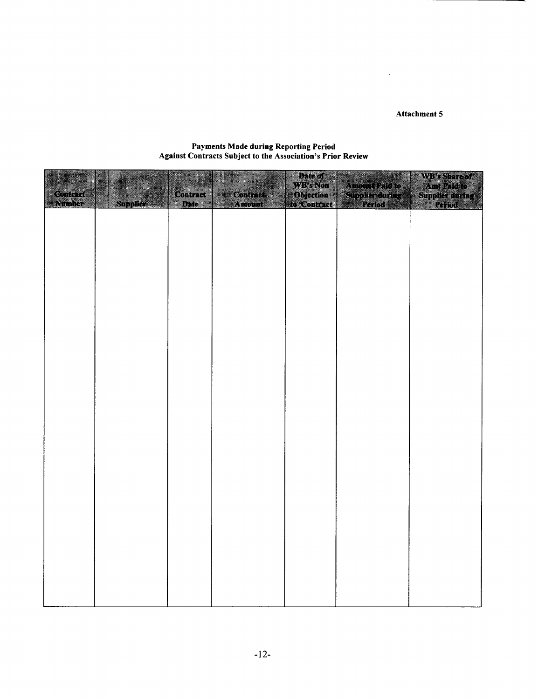$\sim 400$ 

| 88<br>Context<br><b>Nomber</b> | <b>Supplier</b> | Contract<br>Date | Contract<br>Amount | <b>DAGOR</b><br><b>WB</b> sNon<br>Objection<br>to Contract | a kabupatén Ka<br>Amount Paid to<br>Supplier during<br>Period | <b>WESSISTER</b><br>Amt Paid to<br>Supplier during<br>Period |
|--------------------------------|-----------------|------------------|--------------------|------------------------------------------------------------|---------------------------------------------------------------|--------------------------------------------------------------|
|                                |                 |                  |                    |                                                            |                                                               |                                                              |
|                                |                 |                  |                    |                                                            |                                                               |                                                              |
|                                |                 |                  |                    |                                                            |                                                               |                                                              |
|                                |                 |                  |                    |                                                            |                                                               |                                                              |
|                                |                 |                  |                    |                                                            |                                                               |                                                              |
|                                |                 |                  |                    |                                                            |                                                               |                                                              |
|                                |                 |                  |                    |                                                            |                                                               |                                                              |
|                                |                 |                  |                    |                                                            |                                                               |                                                              |
|                                |                 |                  |                    |                                                            |                                                               |                                                              |
|                                |                 |                  |                    |                                                            |                                                               |                                                              |

# Payments Made during Reporting Period<br>Against Contracts Subject to the Association's Prior Review